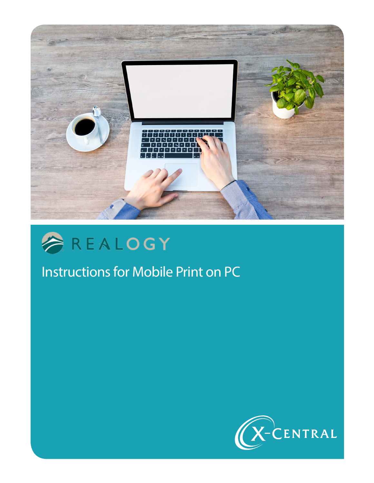



# Instructions for Mobile Print on PC

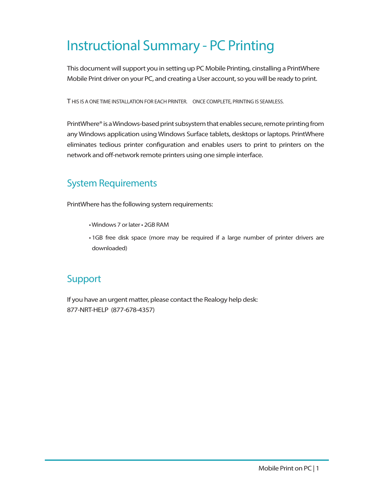## Instructional Summary - PC Printing

This document will support you in setting up PC Mobile Printing, cinstalling a PrintWhere Mobile Print driver on your PC, and creating a User account, so you will be ready to print.

T HIS IS A ONE TIME INSTALLATION FOR EACH PRINTER. ONCE COMPLETE, PRINTING IS SEAMLESS.

PrintWhere® is a Windows-based print subsystem that enables secure, remote printing from any Windows application using Windows Surface tablets, desktops or laptops. PrintWhere eliminates tedious printer configuration and enables users to print to printers on the network and off-network remote printers using one simple interface.

### System Requirements

PrintWhere has the following system requirements:

- Windows 7 or later 2GB RAM
- 1GB free disk space (more may be required if a large number of printer drivers are downloaded)

### Support

If you have an urgent matter, please contact the Realogy help desk: 877-NRT-HELP (877-678-4357)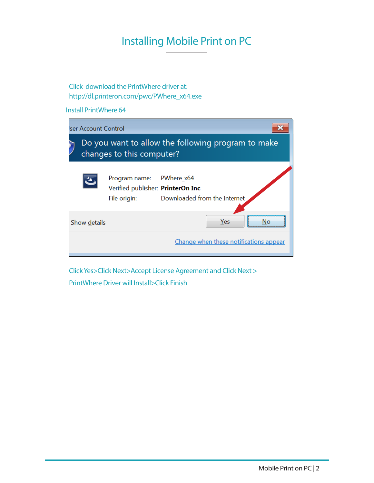## Installing Mobile Print on PC

Click download the PrintWhere driver at: http://dl.printeron.com/pwc/PWhere\_x64.exe

Install PrintWhere.64

|                     | Iser Account Control                                                            |                                                                    |                                            |  |  |
|---------------------|---------------------------------------------------------------------------------|--------------------------------------------------------------------|--------------------------------------------|--|--|
|                     | Do you want to allow the following program to make<br>changes to this computer? |                                                                    |                                            |  |  |
|                     |                                                                                 | Program name:<br>Verified publisher: PrinterOn Inc<br>File origin: | PWhere x64<br>Downloaded from the Internet |  |  |
| Yes<br>Show details |                                                                                 |                                                                    |                                            |  |  |
|                     |                                                                                 |                                                                    | Change when these notifications appear     |  |  |

Click Yes>Click Next>Accept License Agreement and Click Next > PrintWhere Driver will Install>Click Finish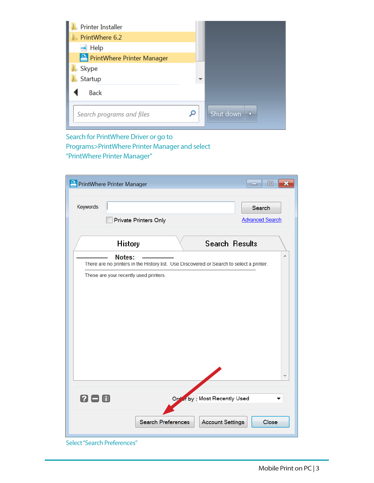| <b>Printer Installer</b>            |   |                            |
|-------------------------------------|---|----------------------------|
| PrintWhere 6.2                      |   |                            |
| $\blacktriangleleft$ Help           |   |                            |
| <b>A</b> PrintWhere Printer Manager |   |                            |
| Skype                               |   |                            |
| Startup                             |   |                            |
| <b>Back</b>                         |   |                            |
| Search programs and files           | Q | Shut down<br>$\rightarrow$ |

### Search for PrintWhere Driver or go to Programs>PrintWhere Printer Manager and select "PrintWhere Printer Manager"

| PrintWhere Printer Manager             |                                                                                          |                              | 冋<br>×<br>$\blacksquare$ |
|----------------------------------------|------------------------------------------------------------------------------------------|------------------------------|--------------------------|
| Keywords                               |                                                                                          |                              | Search                   |
|                                        | <b>Private Printers Only</b>                                                             |                              | <b>Advanced Search</b>   |
| <b>History</b>                         |                                                                                          | <b>Search Results</b>        |                          |
| Notes:                                 | There are no printers in the History list. Use Discovered or Search to select a printer. |                              |                          |
| These are your recently used printers. |                                                                                          |                              |                          |
|                                        |                                                                                          |                              |                          |
|                                        |                                                                                          |                              |                          |
|                                        |                                                                                          |                              |                          |
|                                        |                                                                                          |                              |                          |
|                                        |                                                                                          |                              |                          |
|                                        |                                                                                          |                              |                          |
|                                        |                                                                                          |                              |                          |
| 2 E<br>3 A                             |                                                                                          | Order by: Most Recently Used |                          |
|                                        | Search Preferences                                                                       | <b>Account Settings</b>      | Close                    |

Select "Search Preferences"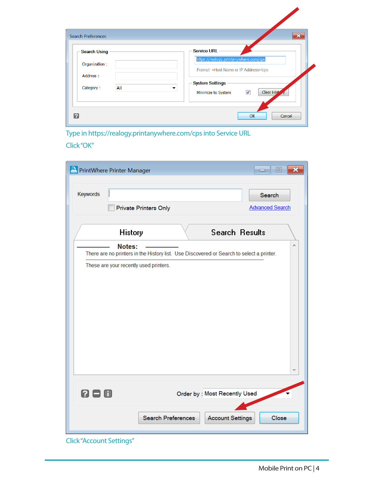| Search Preferences  | $\mathbf{x}$                                             |
|---------------------|----------------------------------------------------------|
| <b>Search Using</b> | <b>Service URL</b>                                       |
| Organization:       | https://realogy.printanywhere.com/cps                    |
| Address:            | Format: <host address="" ip="" name="" or="">/cps</host> |
| Category:<br>All    | <b>System Settings</b><br>▼                              |
|                     | Clear Hist<br>$\blacktriangledown$<br>Minimize to System |



### Click "OK"

| <b>PrintWhere Printer Manager</b> |                                                                                                    |                              | ▣                                       |
|-----------------------------------|----------------------------------------------------------------------------------------------------|------------------------------|-----------------------------------------|
| Keywords                          | <b>Private Printers Only</b>                                                                       |                              | <b>Search</b><br><b>Advanced Search</b> |
|                                   | <b>History</b>                                                                                     | <b>Search Results</b>        |                                         |
|                                   | Notes:<br>There are no printers in the History list. Use Discovered or Search to select a printer. |                              |                                         |
|                                   | These are your recently used printers.                                                             |                              |                                         |
|                                   |                                                                                                    |                              |                                         |
|                                   |                                                                                                    |                              |                                         |
|                                   |                                                                                                    |                              |                                         |
|                                   |                                                                                                    |                              |                                         |
|                                   |                                                                                                    |                              |                                         |
|                                   |                                                                                                    |                              |                                         |
|                                   |                                                                                                    |                              |                                         |
| 2 8 0                             |                                                                                                    | Order by: Most Recently Used |                                         |
|                                   |                                                                                                    |                              |                                         |
|                                   | Search Preferences                                                                                 | <b>Account Settings</b>      | Close                                   |
|                                   |                                                                                                    |                              |                                         |

Click "Account Settings"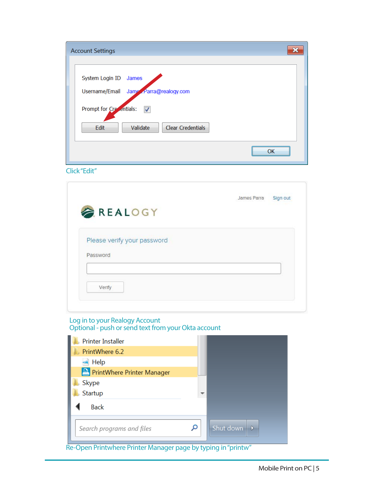| <b>Account Settings</b>                            |
|----------------------------------------------------|
|                                                    |
| System Login ID James                              |
| Username/Email Jame Parra@realogy.com              |
| Prompt for Creatitials:<br>$\overline{\mathsf{v}}$ |
| Clear Credentials<br>Validate<br>Edit              |
|                                                    |

Click "Edit"

| Sign out |
|----------|
|          |
|          |
|          |
|          |
|          |
|          |
|          |
|          |

#### Log in to your Realogy Account Optional - push or send text from your Okta account

| <b>Printer Installer</b>   |   |                                 |
|----------------------------|---|---------------------------------|
| PrintWhere 6.2             |   |                                 |
| $\triangle$ Help           |   |                                 |
| PrintWhere Printer Manager |   |                                 |
| Skype                      |   |                                 |
| Startup                    |   |                                 |
| <b>Back</b>                |   |                                 |
| Search programs and files  | Ω | Shut down $\ $ $\triangleright$ |

Re-Open Printwhere Printer Manager page by typing in "printw"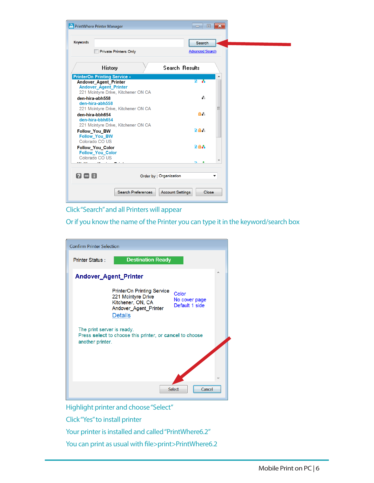

Click "Search" and all Printers will appear

Or if you know the name of the Printer you can type it in the keyword/search box



Highlight printer and choose "Select"

Click "Yes" to install printer

Your printer is installed and called "PrintWhere6.2"

You can print as usual with file>print>PrintWhere6.2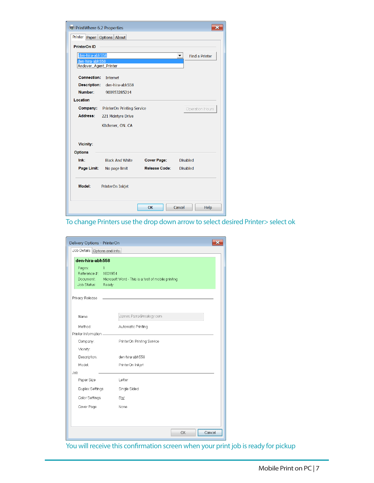| ×<br><b>PrintWhere 6.2 Properties</b> |                            |                      |                       |  |
|---------------------------------------|----------------------------|----------------------|-----------------------|--|
| Printer Paper Options About           |                            |                      |                       |  |
| <b>PrinterOn ID</b>                   |                            |                      |                       |  |
| den-hira-abh558<br>den-hira-abh558    |                            |                      | <b>Find a Printer</b> |  |
| Andover_Agent_Printer                 |                            |                      |                       |  |
| <b>Connection:</b>                    | Internet                   |                      |                       |  |
| <b>Description:</b>                   | den-hira-abh558            |                      |                       |  |
| Number:                               | 900953285214               |                      |                       |  |
| Location                              |                            |                      |                       |  |
| Company:                              | PrinterOn Printing Service |                      | Operation Hours       |  |
| Address:                              | 221 Mcintyre Drive         |                      |                       |  |
|                                       | Kitchener, ON. CA          |                      |                       |  |
|                                       |                            |                      |                       |  |
| <b>Vicinity:</b>                      |                            |                      |                       |  |
| <b>Options</b>                        |                            |                      |                       |  |
| Ink:                                  | <b>Black And White</b>     | <b>Cover Page:</b>   | <b>Disabled</b>       |  |
| Page Limit:                           | No page limit              | <b>Release Code:</b> | <b>Disabled</b>       |  |
| Model:                                | PrinterOn Inkjet           |                      |                       |  |
|                                       |                            | OK                   | Cancel<br>Help        |  |

To change Printers use the drop down arrow to select desired Printer> select ok

| Delivery Options - PrinterOn                                        |                                                              |  |  |  |
|---------------------------------------------------------------------|--------------------------------------------------------------|--|--|--|
|                                                                     | Job Details Options and Info.                                |  |  |  |
|                                                                     | den-hira-abh558                                              |  |  |  |
| Pages:<br>$\mathbf{1}$<br>Reference #: 1001954<br>Job Status: Ready | Document: Microsoft Word - This is a test of mobile printing |  |  |  |
| Privacy Release                                                     |                                                              |  |  |  |
| Name                                                                | James.Parra@realogy.com                                      |  |  |  |
| Method:                                                             | Automatic Printing                                           |  |  |  |
| Printer Information.                                                |                                                              |  |  |  |
| Company:                                                            | PrinterOn Printing Service                                   |  |  |  |
| Vicinity:                                                           |                                                              |  |  |  |
| Description:                                                        | den-hira-abh558                                              |  |  |  |
| Model:                                                              | PrinterOn Inkjet                                             |  |  |  |
| Job                                                                 |                                                              |  |  |  |
| Paper Size                                                          | Letter                                                       |  |  |  |
| <b>Duplex Settings</b>                                              | Single Sided                                                 |  |  |  |
| Color Settings                                                      | <b>BW</b>                                                    |  |  |  |
| Cover Page                                                          | None                                                         |  |  |  |
|                                                                     | OK<br>Cancel                                                 |  |  |  |

You will receive this confirmation screen when your print job is ready for pickup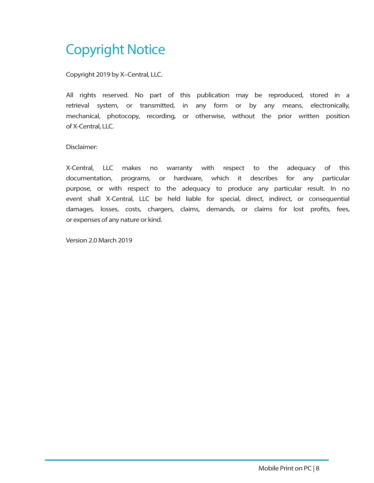## Copyright Notice

Copyright 2019 by X–Central, LLC.

All rights reserved. No part of this publication may be reproduced, stored in a retrieval system, or transmitted, in any form or by any means, electronically, mechanical, photocopy, recording, or otherwise, without the prior written position of X-Central, LLC.

Disclaimer:

X-Central, LLC makes no warranty with respect to the adequacy of this documentation, programs, or hardware, which it describes for any particular purpose, or with respect to the adequacy to produce any particular result. In no event shall X-Central, LLC be held liable for special, direct, indirect, or consequential damages, losses, costs, chargers, claims, demands, or claims for lost profits, fees, or expenses of any nature or kind.

Version 2.0 March 2019